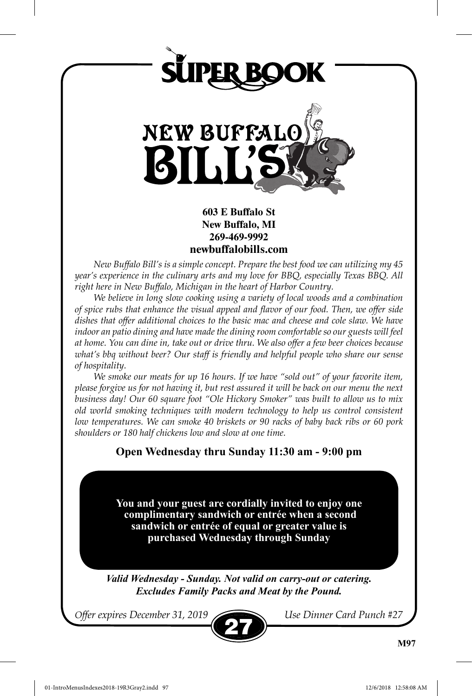



#### **603 E Buffalo St New Buffalo, MI 269-469-9992 newbuffalobills.com**

*New Buffalo Bill's is a simple concept. Prepare the best food we can utilizing my 45 year's experience in the culinary arts and my love for BBQ, especially Texas BBQ. All right here in New Buffalo, Michigan in the heart of Harbor Country.*

*We believe in long slow cooking using a variety of local woods and a combination of spice rubs that enhance the visual appeal and flavor of our food. Then, we offer side dishes that offer additional choices to the basic mac and cheese and cole slaw. We have indoor an patio dining and have made the dining room comfortable so our guests will feel at home. You can dine in, take out or drive thru. We also offer a few beer choices because what's bbq without beer? Our staff is friendly and helpful people who share our sense of hospitality.*

*We smoke our meats for up 16 hours. If we have "sold out" of your favorite item, please forgive us for not having it, but rest assured it will be back on our menu the next business day! Our 60 square foot "Ole Hickory Smoker" was built to allow us to mix old world smoking techniques with modern technology to help us control consistent low temperatures. We can smoke 40 briskets or 90 racks of baby back ribs or 60 pork shoulders or 180 half chickens low and slow at one time.*

#### **Open Wednesday thru Sunday 11:30 am - 9:00 pm**

**You and your guest are cordially invited to enjoy one complimentary sandwich or entrée when a second sandwich or entrée of equal or greater value is purchased Wednesday through Sunday**

*Valid Wednesday - Sunday. Not valid on carry-out or catering. Excludes Family Packs and Meat by the Pound.*

*Offer expires December 31, 2019 Use Dinner Card Punch #27*